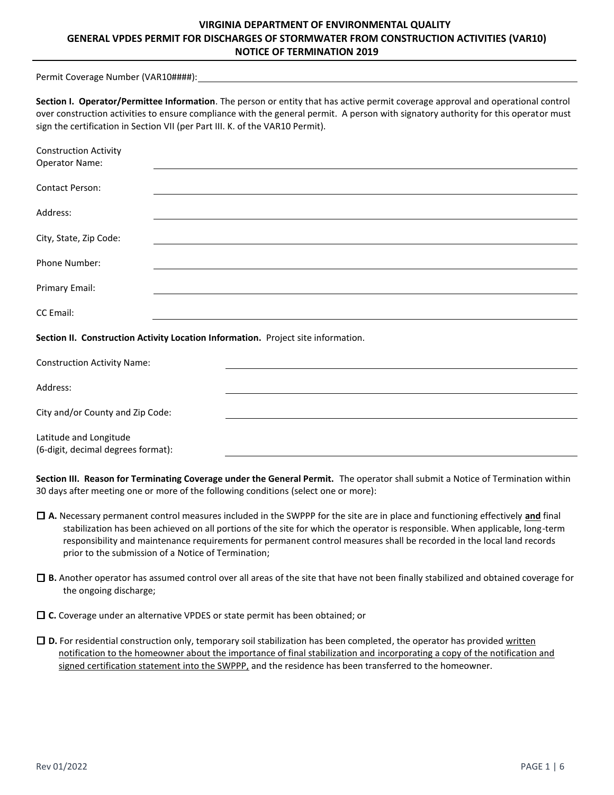# **VIRGINIA DEPARTMENT OF ENVIRONMENTAL QUALITY GENERAL VPDES PERMIT FOR DISCHARGES OF STORMWATER FROM CONSTRUCTION ACTIVITIES (VAR10) NOTICE OF TERMINATION 2019**

Permit Coverage Number (VAR10####):

| Section I. Operator/Permittee Information. The person or entity that has active permit coverage approval and operational control    |
|-------------------------------------------------------------------------------------------------------------------------------------|
| over construction activities to ensure compliance with the general permit. A person with signatory authority for this operator must |
| sign the certification in Section VII (per Part III. K. of the VAR10 Permit).                                                       |

| <b>Construction Activity</b><br><b>Operator Name:</b>        |                                                                                   |
|--------------------------------------------------------------|-----------------------------------------------------------------------------------|
| <b>Contact Person:</b>                                       |                                                                                   |
| Address:                                                     |                                                                                   |
| City, State, Zip Code:                                       |                                                                                   |
| Phone Number:                                                |                                                                                   |
| Primary Email:                                               |                                                                                   |
| CC Email:                                                    |                                                                                   |
|                                                              | Section II. Construction Activity Location Information. Project site information. |
| <b>Construction Activity Name:</b>                           |                                                                                   |
| Address:                                                     |                                                                                   |
| City and/or County and Zip Code:                             |                                                                                   |
| Latitude and Longitude<br>(6-digit, decimal degrees format): |                                                                                   |

**Section III. Reason for Terminating Coverage under the General Permit.** The operator shall submit a Notice of Termination within 30 days after meeting one or more of the following conditions (select one or more):

- ☐ **A.** Necessary permanent control measures included in the SWPPP for the site are in place and functioning effectively **and** final stabilization has been achieved on all portions of the site for which the operator is responsible. When applicable, long-term responsibility and maintenance requirements for permanent control measures shall be recorded in the local land records prior to the submission of a Notice of Termination;
- ☐ **B.** Another operator has assumed control over all areas of the site that have not been finally stabilized and obtained coverage for the ongoing discharge;
- ☐ **C.** Coverage under an alternative VPDES or state permit has been obtained; or
- ☐ **D.** For residential construction only, temporary soil stabilization has been completed, the operator has provided written notification to the homeowner about the importance of final stabilization and incorporating a copy of the notification and signed certification statement into the SWPPP, and the residence has been transferred to the homeowner.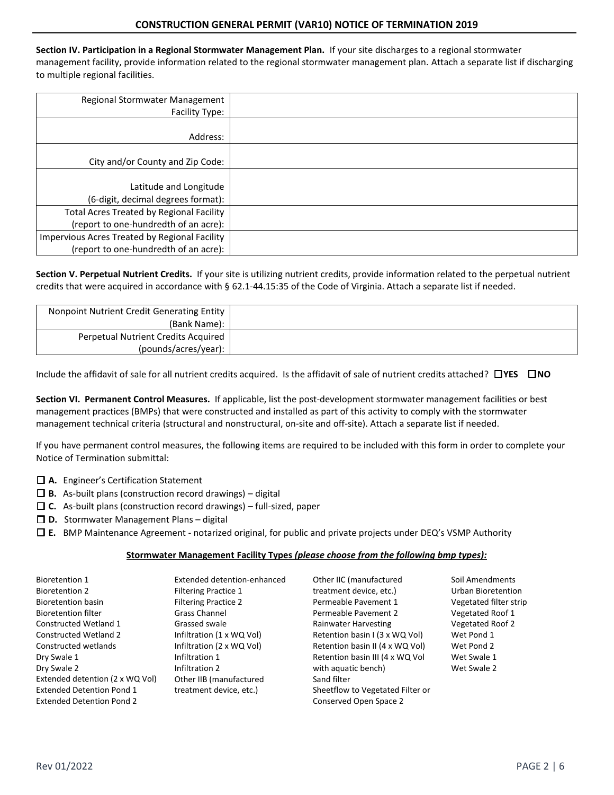#### **CONSTRUCTION GENERAL PERMIT (VAR10) NOTICE OF TERMINATION 2019**

**Section IV. Participation in a Regional Stormwater Management Plan.** If your site discharges to a regional stormwater management facility, provide information related to the regional stormwater management plan. Attach a separate list if discharging to multiple regional facilities.

| Regional Stormwater Management<br>Facility Type:                                       |  |
|----------------------------------------------------------------------------------------|--|
| Address:                                                                               |  |
| City and/or County and Zip Code:                                                       |  |
| Latitude and Longitude<br>(6-digit, decimal degrees format):                           |  |
| Total Acres Treated by Regional Facility<br>(report to one-hundredth of an acre):      |  |
| Impervious Acres Treated by Regional Facility<br>(report to one-hundredth of an acre): |  |

**Section V. Perpetual Nutrient Credits.** If your site is utilizing nutrient credits, provide information related to the perpetual nutrient credits that were acquired in accordance with § 62.1-44.15:35 of the Code of Virginia. Attach a separate list if needed.

| Nonpoint Nutrient Credit Generating Entity |  |
|--------------------------------------------|--|
| (Bank Name):                               |  |
| Perpetual Nutrient Credits Acquired        |  |
| (pounds/acres/year):                       |  |

Include the affidavit of sale for all nutrient credits acquired. Is the affidavit of sale of nutrient credits attached? ☐**YES** ☐**NO**

**Section VI. Permanent Control Measures.** If applicable, list the post-development stormwater management facilities or best management practices (BMPs) that were constructed and installed as part of this activity to comply with the stormwater management technical criteria (structural and nonstructural, on-site and off-site). Attach a separate list if needed.

If you have permanent control measures, the following items are required to be included with this form in order to complete your Notice of Termination submittal:

- ☐ **A.** [Engineer's Certification Statement](https://www.deq.virginia.gov/Portals/0/DEQ/Water/StormwaterManagement/CGP%20Links/Engineer%20Certification.pdf?ver=2017-12-01-082635-560)
- ☐ **B.** As-built plans (construction record drawings) digital
- ☐ **C.** As-built plans (construction record drawings) full-sized, paper
- ☐ **D.** Stormwater Management Plans digital
- ☐ **E.** BMP Maintenance Agreement notarized original, for public and private projects under DEQ's VSMP Authority

#### **Stormwater Management Facility Types** *(please choose from the following bmp types):*

| <b>Bioretention 1</b>            | Extended detention-enhanced | Other IIC (manufactured          | Soil Amendments         |
|----------------------------------|-----------------------------|----------------------------------|-------------------------|
| <b>Bioretention 2</b>            | <b>Filtering Practice 1</b> | treatment device, etc.)          | Urban Bioretention      |
| <b>Bioretention basin</b>        | <b>Filtering Practice 2</b> | Permeable Pavement 1             | Vegetated filter strip  |
| <b>Bioretention filter</b>       | <b>Grass Channel</b>        | Permeable Pavement 2             | Vegetated Roof 1        |
| Constructed Wetland 1            | Grassed swale               | Rainwater Harvesting             | <b>Vegetated Roof 2</b> |
| <b>Constructed Wetland 2</b>     | Infiltration (1 x WQ Vol)   | Retention basin I (3 x WQ Vol)   | Wet Pond 1              |
| Constructed wetlands             | Infiltration (2 x WQ Vol)   | Retention basin II (4 x WQ Vol)  | Wet Pond 2              |
| Dry Swale 1                      | Infiltration 1              | Retention basin III (4 x WQ Vol  | Wet Swale 1             |
| Dry Swale 2                      | Infiltration 2              | with aquatic bench)              | Wet Swale 2             |
| Extended detention (2 x WQ Vol)  | Other IIB (manufactured     | Sand filter                      |                         |
| <b>Extended Detention Pond 1</b> | treatment device, etc.)     | Sheetflow to Vegetated Filter or |                         |
| <b>Extended Detention Pond 2</b> |                             | Conserved Open Space 2           |                         |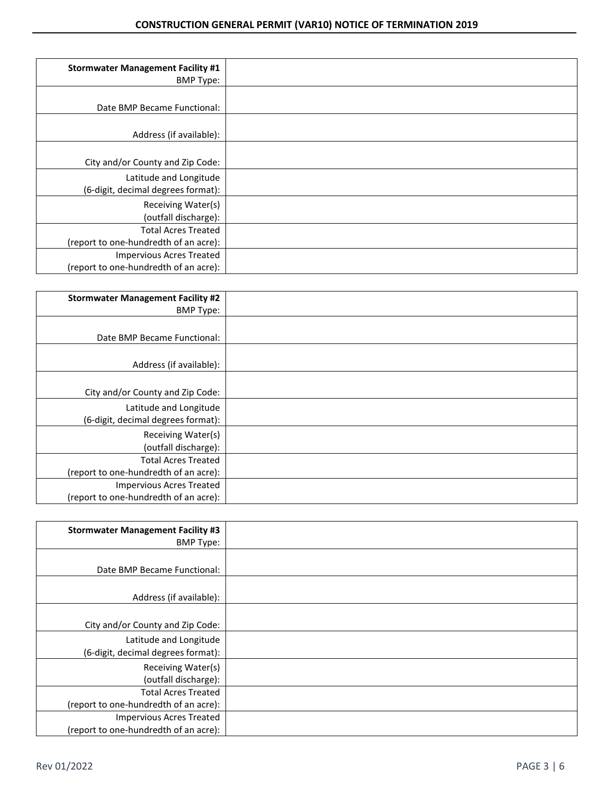| <b>Stormwater Management Facility #1</b><br><b>BMP Type:</b>             |  |
|--------------------------------------------------------------------------|--|
| Date BMP Became Functional:                                              |  |
| Address (if available):                                                  |  |
| City and/or County and Zip Code:                                         |  |
| Latitude and Longitude<br>(6-digit, decimal degrees format):             |  |
| Receiving Water(s)<br>(outfall discharge):                               |  |
| <b>Total Acres Treated</b><br>(report to one-hundredth of an acre):      |  |
| <b>Impervious Acres Treated</b><br>(report to one-hundredth of an acre): |  |

| <b>Stormwater Management Facility #2</b><br><b>BMP Type:</b>        |  |
|---------------------------------------------------------------------|--|
| Date BMP Became Functional:                                         |  |
| Address (if available):                                             |  |
| City and/or County and Zip Code:                                    |  |
| Latitude and Longitude<br>(6-digit, decimal degrees format):        |  |
| Receiving Water(s)<br>(outfall discharge):                          |  |
| <b>Total Acres Treated</b><br>(report to one-hundredth of an acre): |  |
| Impervious Acres Treated<br>(report to one-hundredth of an acre):   |  |

| <b>Stormwater Management Facility #3</b><br><b>BMP Type:</b>             |  |
|--------------------------------------------------------------------------|--|
| Date BMP Became Functional:                                              |  |
| Address (if available):                                                  |  |
| City and/or County and Zip Code:                                         |  |
| Latitude and Longitude<br>(6-digit, decimal degrees format):             |  |
| Receiving Water(s)<br>(outfall discharge):                               |  |
| <b>Total Acres Treated</b><br>(report to one-hundredth of an acre):      |  |
| <b>Impervious Acres Treated</b><br>(report to one-hundredth of an acre): |  |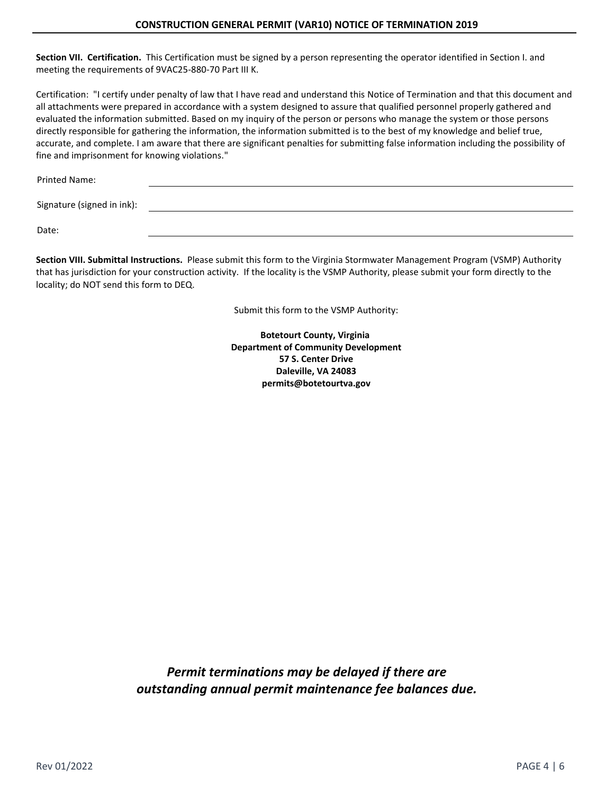#### **CONSTRUCTION GENERAL PERMIT (VAR10) NOTICE OF TERMINATION 2019**

**Section VII. Certification.** This Certification must be signed by a person representing the operator identified in Section I. and meeting the requirements of 9VAC25-880-70 Part III K.

Certification: "I certify under penalty of law that I have read and understand this Notice of Termination and that this document and all attachments were prepared in accordance with a system designed to assure that qualified personnel properly gathered and evaluated the information submitted. Based on my inquiry of the person or persons who manage the system or those persons directly responsible for gathering the information, the information submitted is to the best of my knowledge and belief true, accurate, and complete. I am aware that there are significant penalties for submitting false information including the possibility of fine and imprisonment for knowing violations."

Printed Name:

Signature (signed in ink):

Date:

**Section VIII. Submittal Instructions.** Please submit this form to the Virginia Stormwater Management Program (VSMP) Authority that has jurisdiction for your construction activity. If the locality is the VSMP Authority, please submit your form directly to the locality; do NOT send this form to DEQ.

Submit this form to the VSMP Authority:

**Botetourt County, Virginia Department of Community Development 57 S. Center Drive Daleville, VA 24083 permits@botetourtva.gov**

*Permit terminations may be delayed if there are outstanding annual permit maintenance fee balances due.*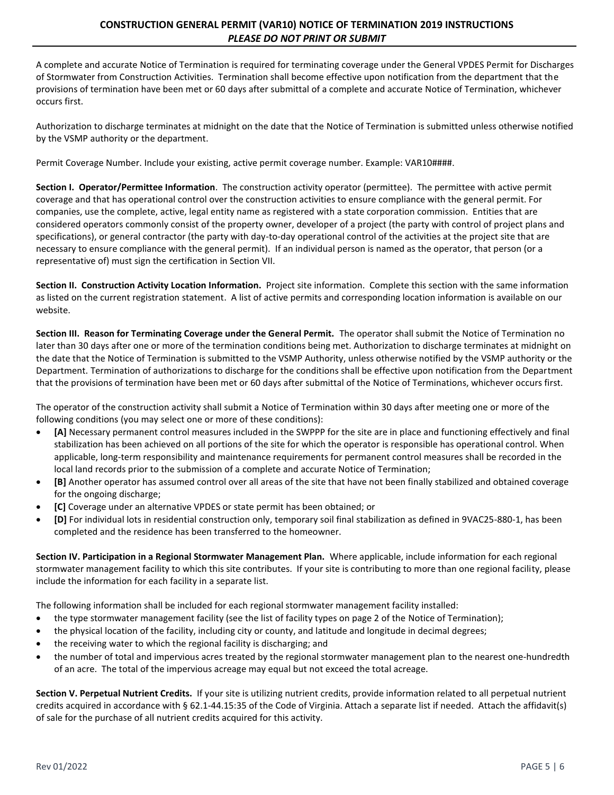## **CONSTRUCTION GENERAL PERMIT (VAR10) NOTICE OF TERMINATION 2019 INSTRUCTIONS** *PLEASE DO NOT PRINT OR SUBMIT*

A complete and accurate Notice of Termination is required for terminating coverage under the General VPDES Permit for Discharges of Stormwater from Construction Activities. Termination shall become effective upon notification from the department that the provisions of termination have been met or 60 days after submittal of a complete and accurate Notice of Termination, whichever occurs first.

Authorization to discharge terminates at midnight on the date that the Notice of Termination is submitted unless otherwise notified by the VSMP authority or the department.

Permit Coverage Number. Include your existing, active permit coverage number. Example: VAR10####.

**Section I. Operator/Permittee Information**. The construction activity operator (permittee). The permittee with active permit coverage and that has operational control over the construction activities to ensure compliance with the general permit. For companies, use the complete, active, legal entity name as registered with a state corporation commission. Entities that are considered operators commonly consist of the property owner, developer of a project (the party with control of project plans and specifications), or general contractor (the party with day-to-day operational control of the activities at the project site that are necessary to ensure compliance with the general permit). If an individual person is named as the operator, that person (or a representative of) must sign the certification in Section VII.

**Section II. Construction Activity Location Information.** Project site information. Complete this section with the same information as listed on the current registration statement. A list of active permits and corresponding location information is available on our website.

**Section III. Reason for Terminating Coverage under the General Permit.** The operator shall submit the Notice of Termination no later than 30 days after one or more of the termination conditions being met. Authorization to discharge terminates at midnight on the date that the Notice of Termination is submitted to the VSMP Authority, unless otherwise notified by the VSMP authority or the Department. Termination of authorizations to discharge for the conditions shall be effective upon notification from the Department that the provisions of termination have been met or 60 days after submittal of the Notice of Terminations, whichever occurs first.

The operator of the construction activity shall submit a Notice of Termination within 30 days after meeting one or more of the following conditions (you may select one or more of these conditions):

- **[A]** Necessary permanent control measures included in the SWPPP for the site are in place and functioning effectively and final stabilization has been achieved on all portions of the site for which the operator is responsible has operational control. When applicable, long-term responsibility and maintenance requirements for permanent control measures shall be recorded in the local land records prior to the submission of a complete and accurate Notice of Termination;
- **[B]** Another operator has assumed control over all areas of the site that have not been finally stabilized and obtained coverage for the ongoing discharge;
- **[C]** Coverage under an alternative VPDES or state permit has been obtained; or
- **[D]** For individual lots in residential construction only, temporary soil final stabilization as defined in 9VAC25-880-1, has been completed and the residence has been transferred to the homeowner.

**Section IV. Participation in a Regional Stormwater Management Plan.** Where applicable, include information for each regional stormwater management facility to which this site contributes. If your site is contributing to more than one regional facility, please include the information for each facility in a separate list.

The following information shall be included for each regional stormwater management facility installed:

- the type stormwater management facility (see the list of facility types on page 2 of the Notice of Termination);
- the physical location of the facility, including city or county, and latitude and longitude in decimal degrees;
- the receiving water to which the regional facility is discharging; and
- the number of total and impervious acres treated by the regional stormwater management plan to the nearest one-hundredth of an acre. The total of the impervious acreage may equal but not exceed the total acreage.

**Section V. Perpetual Nutrient Credits.** If your site is utilizing nutrient credits, provide information related to all perpetual nutrient credits acquired in accordance with § 62.1-44.15:35 of the Code of Virginia. Attach a separate list if needed. Attach the affidavit(s) of sale for the purchase of all nutrient credits acquired for this activity.